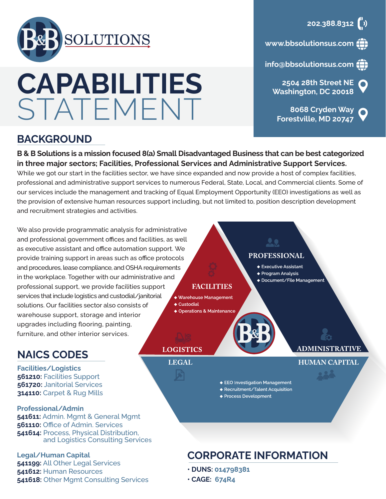

# **CAPABILITIES STATEMENT BOG8 Cryden Way**

# **BACKGROUND**

**B & B Solutions is a mission focused 8(a) Small Disadvantaged Business that can be best categorized in three major sectors; Facilities, Professional Services and Administrative Support Services.**

While we got our start in the facilities sector, we have since expanded and now provide a host of complex facilities, professional and administrative support services to numerous Federal, State, Local, and Commercial clients. Some of our services include the management and tracking of Equal Employment Opportunity (EEO) investigations as well as the provision of extensive human resources support including, but not limited to, position description development and recruitment strategies and activities.

We also provide programmatic analysis for administrative and professional government offices and facilities, as well as executive assistant and office automation support. We provide training support in areas such as office protocols and procedures, lease compliance, and OSHA requirements in the workplace. Together with our administrative and professional support, we provide facilities support services that include logistics and custodial/janitorial solutions. Our facilities sector also consists of warehouse support, storage and interior upgrades including flooring, painting, furniture, and other interior services.

# **NAICS CODES**

**Facilities/Logistics 561210:** Facilities Support **561720:** Janitorial Services **314110:** Carpet & Rug Mills

#### **Professional/Admin 541611:** Admin. Mgmt & General Mgmt **561110:** Office of Admin. Services **541614:** Process, Physical Distribution, and Logistics Consulting Services

**Legal/Human Capital 541199:** All Other Legal Services **541612:** Human Resources **541618:** Other Mgmt Consulting Services

# **FACILITIES**

- ◆ Warehouse Management  $\triangle$  Custodial
- ◆ Operations & Maintenance



**PROFESSIONAL** ◆ Executive Assistant ◆ Program Analysis

◆ Document/File Management

**ADMINISTRATIVE** 

**HUMAN CAPITAL** 

# **LOGISTICS**

# **LEGAL**

- ← EEO Investigation Management
- ◆ Recruitment/Talent Acquisition
- ◆ Process Development

# **CORPORATE INFORMATION**

- **DUNS: 014798381**
- **CAGE: 674R4**



**www.bbsolutionsus.com**

**info@bbsolutionsus.com**

**2504 28th Street NE Washington, DC 20018**